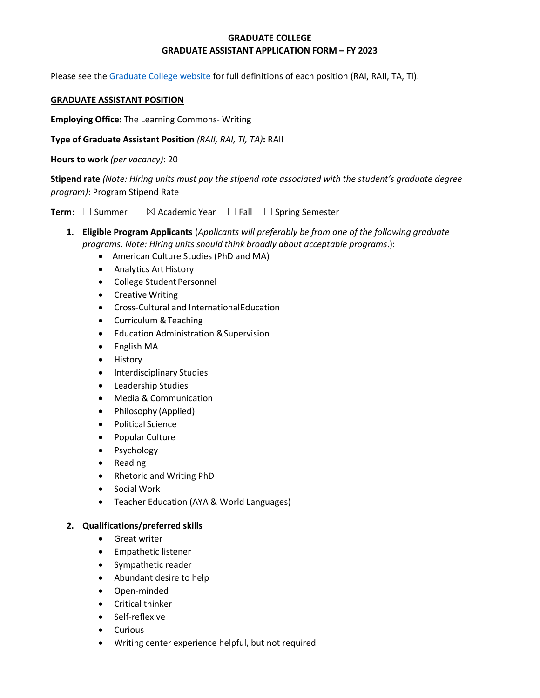## **GRADUATE COLLEGE GRADUATE ASSISTANT APPLICATION FORM – FY 2023**

Please see the [Graduate College website](https://www.bgsu.edu/content/dam/BGSU/graduate-college/GADocs/Grad-Col-GA-Position-Descriptions-21-22.pdf) for full definitions of each position (RAI, RAII, TA, TI).

#### **GRADUATE ASSISTANT POSITION**

**Employing Office:** The Learning Commons- Writing

**Type of Graduate Assistant Position** *(RAII, RAI, TI, TA)***:** RAII

**Hours to work** *(per vacancy)*: 20

**Stipend rate** *(Note: Hiring units must pay the stipend rate associated with the student's graduate degree program)*: Program Stipend Rate

**Term**: □ Summer  $\boxtimes$  Academic Year □ Fall □ Spring Semester

- **1. Eligible Program Applicants** (*Applicants will preferably be from one of the following graduate programs. Note: Hiring units should think broadly about acceptable programs*.):
	- American Culture Studies (PhD and MA)
	- Analytics Art History
	- College Student Personnel
	- Creative Writing
	- Cross-Cultural and InternationalEducation
	- Curriculum &Teaching
	- Education Administration &Supervision
	- English MA
	- History
	- Interdisciplinary Studies
	- Leadership Studies
	- Media & Communication
	- Philosophy (Applied)
	- Political Science
	- Popular Culture
	- Psychology
	- Reading
	- Rhetoric and Writing PhD
	- Social Work
	- Teacher Education (AYA & World Languages)

#### **2. Qualifications/preferred skills**

- Great writer
- Empathetic listener
- Sympathetic reader
- Abundant desire to help
- Open-minded
- Critical thinker
- Self-reflexive
- Curious
- Writing center experience helpful, but not required